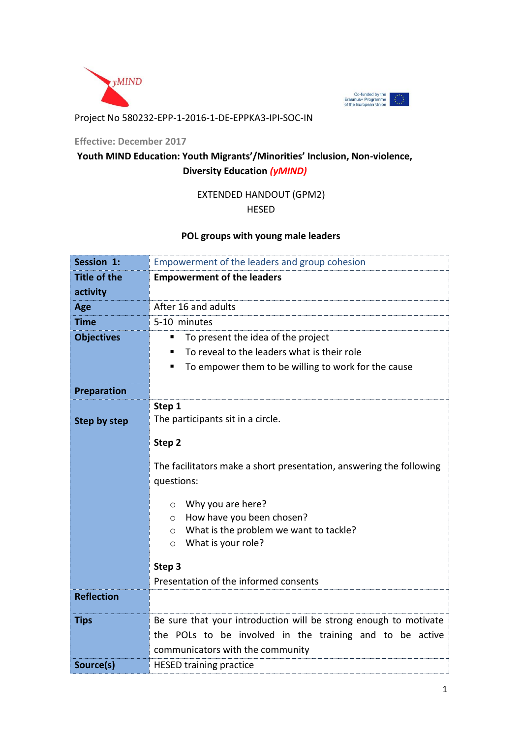



## Project No 580232-EPP-1-2016-1-DE-EPPKA3-IPI-SOC-IN

#### **Effective: December 2017**

# **Youth MIND Education: Youth Migrants'/Minorities' Inclusion, Non-violence, Diversity Education** *(yMIND)*

## EXTENDED HANDOUT (GPM2)

#### HESED

## **POL groups with young male leaders**

| Session 1:          | Empowerment of the leaders and group cohesion                                      |
|---------------------|------------------------------------------------------------------------------------|
| <b>Title of the</b> | <b>Empowerment of the leaders</b>                                                  |
| activity            |                                                                                    |
| Age                 | After 16 and adults                                                                |
| <b>Time</b>         | 5-10 minutes                                                                       |
| <b>Objectives</b>   | To present the idea of the project<br>■                                            |
|                     | To reveal to the leaders what is their role<br>٠                                   |
|                     | To empower them to be willing to work for the cause<br>п                           |
| <b>Preparation</b>  |                                                                                    |
|                     | Step 1                                                                             |
| <b>Step by step</b> | The participants sit in a circle.                                                  |
|                     | Step 2                                                                             |
|                     | The facilitators make a short presentation, answering the following                |
|                     | questions:                                                                         |
|                     |                                                                                    |
|                     | Why you are here?<br>$\circ$                                                       |
|                     | How have you been chosen?<br>$\circ$                                               |
|                     | What is the problem we want to tackle?<br>$\circ$<br>What is your role?<br>$\circ$ |
|                     |                                                                                    |
|                     | Step 3                                                                             |
|                     | Presentation of the informed consents                                              |
| <b>Reflection</b>   |                                                                                    |
| <b>Tips</b>         | Be sure that your introduction will be strong enough to motivate                   |
|                     | the POLs to be involved in the training and to be active                           |
|                     | communicators with the community                                                   |
| Source(s)           | <b>HESED training practice</b>                                                     |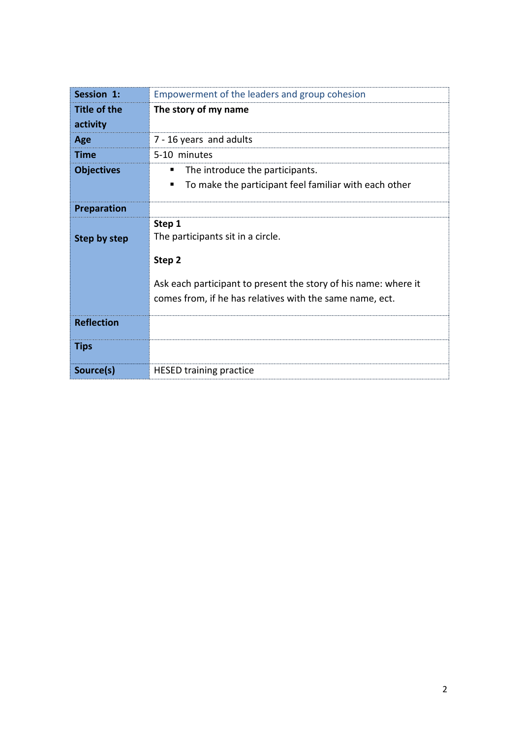| Session 1:                      | Empowerment of the leaders and group cohesion                                                                                                                                        |
|---------------------------------|--------------------------------------------------------------------------------------------------------------------------------------------------------------------------------------|
| <b>Title of the</b><br>activity | The story of my name                                                                                                                                                                 |
| Age                             | 7 - 16 years and adults                                                                                                                                                              |
| Time                            | 5-10 minutes                                                                                                                                                                         |
| <b>Objectives</b>               | The introduce the participants.<br>п<br>To make the participant feel familiar with each other                                                                                        |
| <b>Preparation</b>              |                                                                                                                                                                                      |
| Step by step                    | Step 1<br>The participants sit in a circle.<br>Step 2<br>Ask each participant to present the story of his name: where it<br>comes from, if he has relatives with the same name, ect. |
| <b>Reflection</b>               |                                                                                                                                                                                      |
| <b>Tips</b>                     |                                                                                                                                                                                      |
| Source(s)                       | <b>HESED training practice</b>                                                                                                                                                       |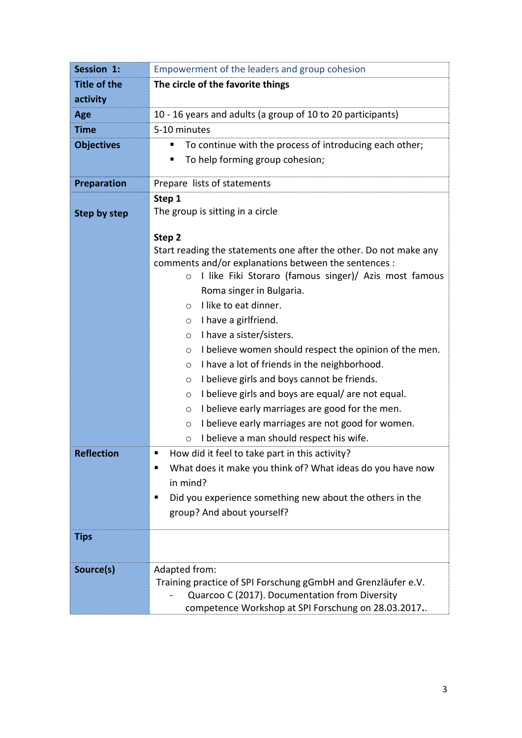| Session 1:          | Empowerment of the leaders and group cohesion                               |
|---------------------|-----------------------------------------------------------------------------|
| <b>Title of the</b> | The circle of the favorite things                                           |
| activity            |                                                                             |
| Age                 | 10 - 16 years and adults (a group of 10 to 20 participants)                 |
| <b>Time</b>         | 5-10 minutes                                                                |
| <b>Objectives</b>   | To continue with the process of introducing each other;                     |
|                     | To help forming group cohesion;<br>п                                        |
| <b>Preparation</b>  | Prepare lists of statements                                                 |
|                     | Step 1                                                                      |
| <b>Step by step</b> | The group is sitting in a circle                                            |
|                     |                                                                             |
|                     | Step 2<br>Start reading the statements one after the other. Do not make any |
|                     | comments and/or explanations between the sentences :                        |
|                     | I like Fiki Storaro (famous singer)/ Azis most famous<br>$\circ$            |
|                     | Roma singer in Bulgaria.                                                    |
|                     | I like to eat dinner.<br>$\circ$                                            |
|                     | I have a girlfriend.<br>$\circ$                                             |
|                     | I have a sister/sisters.<br>$\circ$                                         |
|                     | I believe women should respect the opinion of the men.<br>O                 |
|                     | I have a lot of friends in the neighborhood.<br>O                           |
|                     | I believe girls and boys cannot be friends.<br>O                            |
|                     | I believe girls and boys are equal/are not equal.<br>$\circ$                |
|                     | I believe early marriages are good for the men.<br>$\circ$                  |
|                     | I believe early marriages are not good for women.<br>$\circ$                |
|                     | I believe a man should respect his wife.<br>$\circ$                         |
| <b>Reflection</b>   | How did it feel to take part in this activity?                              |
|                     | What does it make you think of? What ideas do you have now                  |
|                     | in mind?                                                                    |
|                     | Did you experience something new about the others in the<br>п               |
|                     | group? And about yourself?                                                  |
| <b>Tips</b>         |                                                                             |
|                     |                                                                             |
| Source(s)           | Adapted from:                                                               |
|                     | Training practice of SPI Forschung gGmbH and Grenzläufer e.V.               |
|                     | Quarcoo C (2017). Documentation from Diversity                              |
|                     | competence Workshop at SPI Forschung on 28.03.2017                          |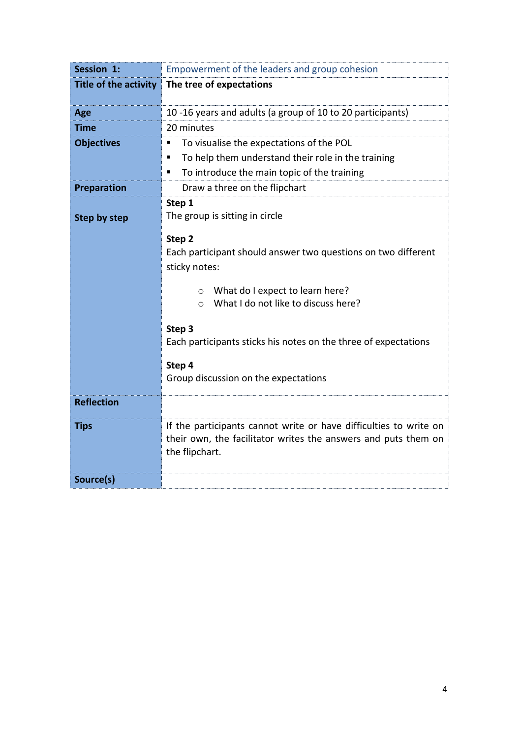| Session 1:                   | Empowerment of the leaders and group cohesion                                    |
|------------------------------|----------------------------------------------------------------------------------|
| <b>Title of the activity</b> | The tree of expectations                                                         |
|                              |                                                                                  |
| Age                          | 10-16 years and adults (a group of 10 to 20 participants)                        |
| <b>Time</b>                  | 20 minutes                                                                       |
| <b>Objectives</b>            | To visualise the expectations of the POL<br>Е                                    |
|                              | To help them understand their role in the training<br>п                          |
|                              | To introduce the main topic of the training<br>п                                 |
| Preparation                  | Draw a three on the flipchart                                                    |
|                              | Step 1                                                                           |
| <b>Step by step</b>          | The group is sitting in circle                                                   |
|                              | Step 2                                                                           |
|                              | Each participant should answer two questions on two different                    |
|                              | sticky notes:                                                                    |
|                              |                                                                                  |
|                              | What do I expect to learn here?<br>$\circ$                                       |
|                              | What I do not like to discuss here?<br>$\Omega$                                  |
|                              | Step 3                                                                           |
|                              | Each participants sticks his notes on the three of expectations                  |
|                              |                                                                                  |
|                              | Step 4                                                                           |
|                              | Group discussion on the expectations                                             |
| <b>Reflection</b>            |                                                                                  |
|                              |                                                                                  |
| <b>Tips</b>                  | If the participants cannot write or have difficulties to write on                |
|                              | their own, the facilitator writes the answers and puts them on<br>the flipchart. |
|                              |                                                                                  |
| Source(s)                    |                                                                                  |
|                              |                                                                                  |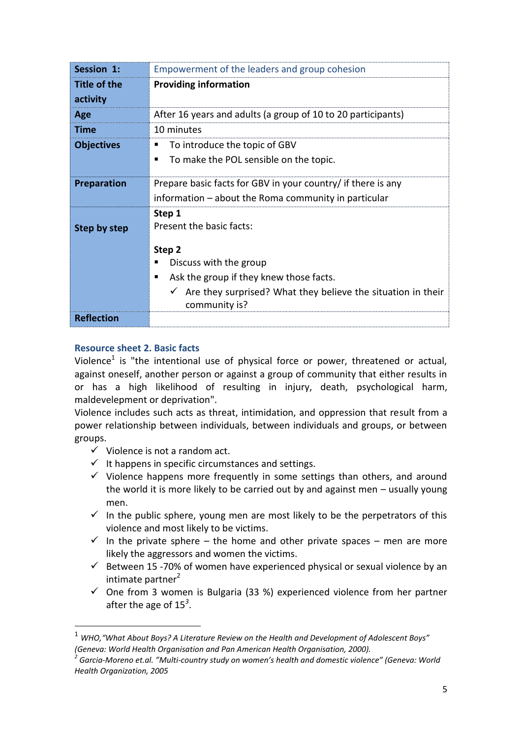| Session 1:               | Empowerment of the leaders and group cohesion                                 |
|--------------------------|-------------------------------------------------------------------------------|
| Title of the<br>activity | <b>Providing information</b>                                                  |
|                          |                                                                               |
| Age                      | After 16 years and adults (a group of 10 to 20 participants)                  |
| Time                     | 10 minutes                                                                    |
| <b>Objectives</b>        | To introduce the topic of GBV<br>п                                            |
|                          | To make the POL sensible on the topic.<br>■                                   |
| <b>Preparation</b>       | Prepare basic facts for GBV in your country/ if there is any                  |
|                          | information – about the Roma community in particular                          |
| <b>Step by step</b>      | Step 1<br>Present the basic facts:<br>Step 2                                  |
|                          | Discuss with the group                                                        |
|                          | Ask the group if they knew those facts.<br>п                                  |
|                          | Are they surprised? What they believe the situation in their<br>community is? |
| <b>Reflection</b>        |                                                                               |

## **Resource sheet 2. Basic facts**

**.** 

Violence<sup>1</sup> is "the intentional use of physical force or power, threatened or actual, against oneself, another person or against a group of community that either results in or has a high likelihood of resulting in injury, death, psychological harm, maldevelepment or deprivation".

Violence includes such acts as threat, intimidation, and oppression that result from a power relationship between individuals, between individuals and groups, or between groups.

- $\checkmark$  Violence is not a random act.
- $\checkmark$  It happens in specific circumstances and settings.
- $\checkmark$  Violence happens more frequently in some settings than others, and around the world it is more likely to be carried out by and against men – usually young men.
- $\checkmark$  In the public sphere, young men are most likely to be the perpetrators of this violence and most likely to be victims.
- $\checkmark$  In the private sphere the home and other private spaces men are more likely the aggressors and women the victims.
- $\checkmark$  Between 15 -70% of women have experienced physical or sexual violence by an intimate partner $2$
- $\checkmark$  One from 3 women is Bulgaria (33 %) experienced violence from her partner after the age of 15*<sup>3</sup>* .

<sup>1</sup> *WHO,"What About Boys? A Literature Review on the Health and Development of Adolescent Boys" (Geneva: World Health Organisation and Pan American Health Organisation, 2000).*

*<sup>2</sup> Garcia-Moreno et.al. "Multi-country study on women's health and domestic violence" (Geneva: World Health Organization, 2005*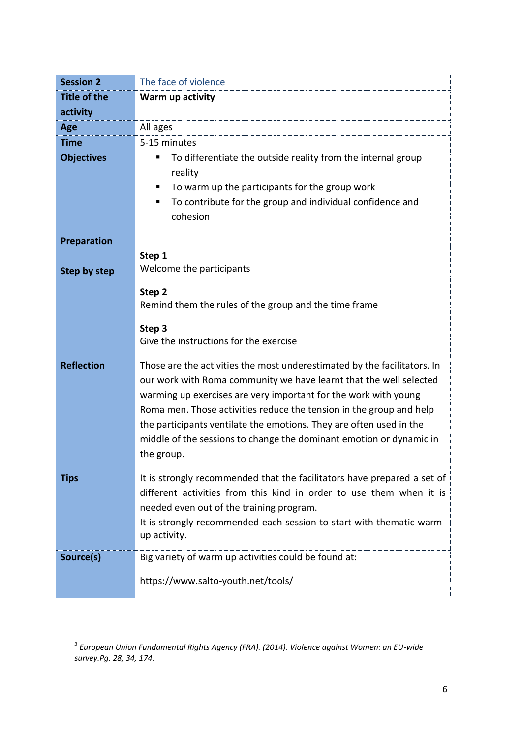| <b>Session 2</b>    | The face of violence                                                     |
|---------------------|--------------------------------------------------------------------------|
| <b>Title of the</b> | Warm up activity                                                         |
| activity            |                                                                          |
| Age                 | All ages                                                                 |
| <b>Time</b>         | 5-15 minutes                                                             |
| <b>Objectives</b>   | To differentiate the outside reality from the internal group<br>п        |
|                     | reality                                                                  |
|                     | To warm up the participants for the group work<br>п                      |
|                     | To contribute for the group and individual confidence and<br>ш           |
|                     | cohesion                                                                 |
| <b>Preparation</b>  |                                                                          |
|                     | Step 1                                                                   |
| <b>Step by step</b> | Welcome the participants                                                 |
|                     | Step 2                                                                   |
|                     | Remind them the rules of the group and the time frame                    |
|                     | Step 3                                                                   |
|                     | Give the instructions for the exercise                                   |
|                     |                                                                          |
| <b>Reflection</b>   | Those are the activities the most underestimated by the facilitators. In |
|                     | our work with Roma community we have learnt that the well selected       |
|                     | warming up exercises are very important for the work with young          |
|                     | Roma men. Those activities reduce the tension in the group and help      |
|                     | the participants ventilate the emotions. They are often used in the      |
|                     | middle of the sessions to change the dominant emotion or dynamic in      |
|                     | the group.                                                               |
| <b>Tips</b>         | It is strongly recommended that the facilitators have prepared a set of  |
|                     | different activities from this kind in order to use them when it is      |
|                     | needed even out of the training program.                                 |
|                     | It is strongly recommended each session to start with thematic warm-     |
|                     | up activity.                                                             |
| Source(s)           | Big variety of warm up activities could be found at:                     |
|                     | https://www.salto-youth.net/tools/                                       |
|                     |                                                                          |

 *3 European Union Fundamental Rights Agency (FRA). (2014). Violence against Women: an EU-wide survey.Pg. 28, 34, 174.*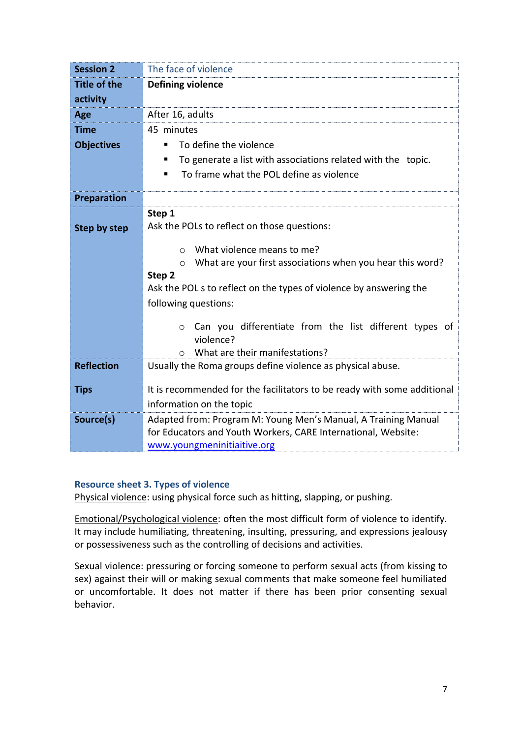| <b>Session 2</b>                | The face of violence                                                    |
|---------------------------------|-------------------------------------------------------------------------|
| <b>Title of the</b><br>activity | <b>Defining violence</b>                                                |
| Age                             | After 16, adults                                                        |
| <b>Time</b>                     | 45 minutes                                                              |
| <b>Objectives</b>               | To define the violence<br>٠                                             |
|                                 | To generate a list with associations related with the topic.<br>п       |
|                                 | To frame what the POL define as violence<br>٠                           |
| <b>Preparation</b>              |                                                                         |
|                                 | Step 1                                                                  |
| Step by step                    | Ask the POLs to reflect on those questions:                             |
|                                 | What violence means to me?<br>$\circ$                                   |
|                                 | What are your first associations when you hear this word?<br>$\circ$    |
|                                 | Step 2                                                                  |
|                                 | Ask the POL s to reflect on the types of violence by answering the      |
|                                 | following questions:                                                    |
|                                 | Can you differentiate from the list different types of<br>$\circ$       |
|                                 | violence?                                                               |
|                                 | What are their manifestations?<br>$\circ$                               |
| <b>Reflection</b>               | Usually the Roma groups define violence as physical abuse.              |
| <b>Tips</b>                     | It is recommended for the facilitators to be ready with some additional |
|                                 | information on the topic                                                |
| Source(s)                       | Adapted from: Program M: Young Men's Manual, A Training Manual          |
|                                 | for Educators and Youth Workers, CARE International, Website:           |
|                                 | www.youngmeninitiaitive.org                                             |

## **Resource sheet 3. Types of violence**

Physical violence: using physical force such as hitting, slapping, or pushing.

Emotional/Psychological violence: often the most difficult form of violence to identify. It may include humiliating, threatening, insulting, pressuring, and expressions jealousy or possessiveness such as the controlling of decisions and activities.

Sexual violence: pressuring or forcing someone to perform sexual acts (from kissing to sex) against their will or making sexual comments that make someone feel humiliated or uncomfortable. It does not matter if there has been prior consenting sexual behavior.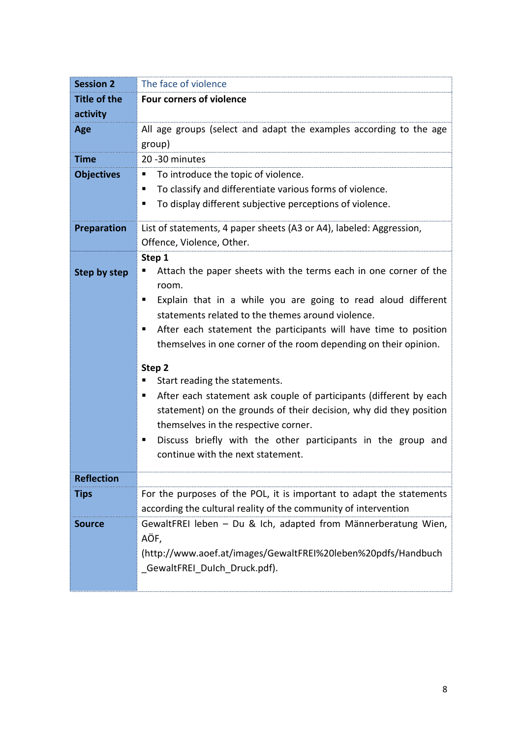| <b>Session 2</b>    | The face of violence                                                    |
|---------------------|-------------------------------------------------------------------------|
| <b>Title of the</b> | <b>Four corners of violence</b>                                         |
| activity            |                                                                         |
| Age                 | All age groups (select and adapt the examples according to the age      |
|                     | group)                                                                  |
| <b>Time</b>         | 20 - 30 minutes                                                         |
| <b>Objectives</b>   | To introduce the topic of violence.<br>ш                                |
|                     | To classify and differentiate various forms of violence.<br>ш           |
|                     | To display different subjective perceptions of violence.<br>٠           |
| <b>Preparation</b>  | List of statements, 4 paper sheets (A3 or A4), labeled: Aggression,     |
|                     | Offence, Violence, Other.                                               |
|                     | Step 1                                                                  |
| Step by step        | Attach the paper sheets with the terms each in one corner of the        |
|                     | room.                                                                   |
|                     | Explain that in a while you are going to read aloud different<br>п      |
|                     | statements related to the themes around violence.                       |
|                     | After each statement the participants will have time to position<br>ш   |
|                     | themselves in one corner of the room depending on their opinion.        |
|                     | Step 2                                                                  |
|                     | Start reading the statements.<br>п                                      |
|                     | After each statement ask couple of participants (different by each<br>п |
|                     | statement) on the grounds of their decision, why did they position      |
|                     | themselves in the respective corner.                                    |
|                     | Discuss briefly with the other participants in the group and<br>п       |
|                     | continue with the next statement.                                       |
| <b>Reflection</b>   |                                                                         |
| <b>Tips</b>         | For the purposes of the POL, it is important to adapt the statements    |
|                     | according the cultural reality of the community of intervention         |
| <b>Source</b>       | GewaltFREI leben - Du & Ich, adapted from Männerberatung Wien,          |
|                     | AÖF,                                                                    |
|                     | (http://www.aoef.at/images/GewaltFREI%20leben%20pdfs/Handbuch           |
|                     | GewaltFREI DuIch Druck.pdf).                                            |
|                     |                                                                         |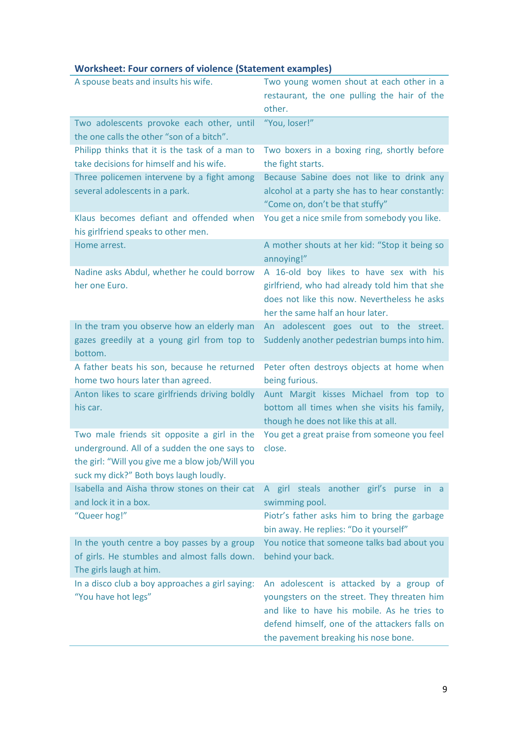# **Worksheet: Four corners of violence (Statement examples)**

| A spouse beats and insults his wife.                                                                                                                                                     | Two young women shout at each other in a                                                                                                                                                                                       |
|------------------------------------------------------------------------------------------------------------------------------------------------------------------------------------------|--------------------------------------------------------------------------------------------------------------------------------------------------------------------------------------------------------------------------------|
|                                                                                                                                                                                          | restaurant, the one pulling the hair of the                                                                                                                                                                                    |
|                                                                                                                                                                                          | other.                                                                                                                                                                                                                         |
| Two adolescents provoke each other, until<br>the one calls the other "son of a bitch".                                                                                                   | "You, loser!"                                                                                                                                                                                                                  |
| Philipp thinks that it is the task of a man to<br>take decisions for himself and his wife.                                                                                               | Two boxers in a boxing ring, shortly before<br>the fight starts.                                                                                                                                                               |
| Three policemen intervene by a fight among<br>several adolescents in a park.                                                                                                             | Because Sabine does not like to drink any<br>alcohol at a party she has to hear constantly:<br>"Come on, don't be that stuffy"                                                                                                 |
| Klaus becomes defiant and offended when<br>his girlfriend speaks to other men.                                                                                                           | You get a nice smile from somebody you like.                                                                                                                                                                                   |
| Home arrest.                                                                                                                                                                             | A mother shouts at her kid: "Stop it being so<br>annoying!"                                                                                                                                                                    |
| Nadine asks Abdul, whether he could borrow<br>her one Euro.                                                                                                                              | A 16-old boy likes to have sex with his<br>girlfriend, who had already told him that she<br>does not like this now. Nevertheless he asks<br>her the same half an hour later.                                                   |
| In the tram you observe how an elderly man<br>gazes greedily at a young girl from top to<br>bottom.                                                                                      | An adolescent goes out to the street.<br>Suddenly another pedestrian bumps into him.                                                                                                                                           |
| A father beats his son, because he returned<br>home two hours later than agreed.                                                                                                         | Peter often destroys objects at home when<br>being furious.                                                                                                                                                                    |
| Anton likes to scare girlfriends driving boldly<br>his car.                                                                                                                              | Aunt Margit kisses Michael from top to<br>bottom all times when she visits his family,<br>though he does not like this at all.                                                                                                 |
| Two male friends sit opposite a girl in the<br>underground. All of a sudden the one says to<br>the girl: "Will you give me a blow job/Will you<br>suck my dick?" Both boys laugh loudly. | You get a great praise from someone you feel<br>close.                                                                                                                                                                         |
| Isabella and Aisha throw stones on their cat<br>and lock it in a box.                                                                                                                    | A girl steals another girl's purse in a<br>swimming pool.                                                                                                                                                                      |
| "Queer hog!"                                                                                                                                                                             | Piotr's father asks him to bring the garbage<br>bin away. He replies: "Do it yourself"                                                                                                                                         |
| In the youth centre a boy passes by a group<br>of girls. He stumbles and almost falls down.<br>The girls laugh at him.                                                                   | You notice that someone talks bad about you<br>behind your back.                                                                                                                                                               |
| In a disco club a boy approaches a girl saying:<br>"You have hot legs"                                                                                                                   | An adolescent is attacked by a group of<br>youngsters on the street. They threaten him<br>and like to have his mobile. As he tries to<br>defend himself, one of the attackers falls on<br>the pavement breaking his nose bone. |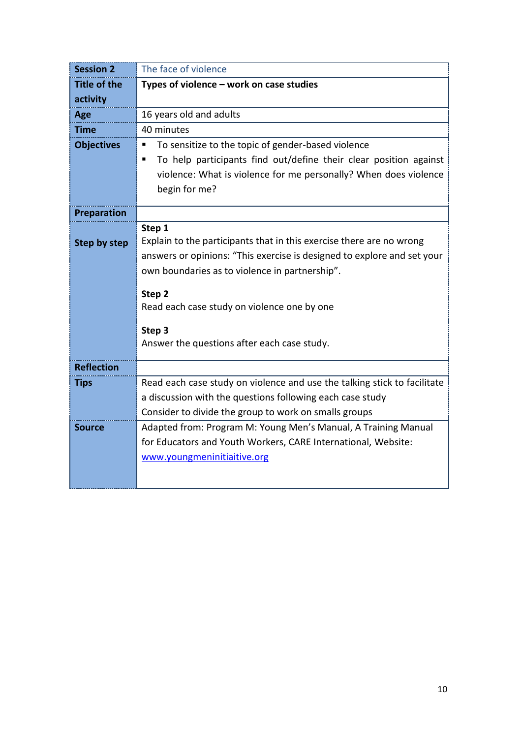| <b>Title of the</b><br>activity<br>Age<br>Time<br><b>Objectives</b><br><b>Preparation</b> |
|-------------------------------------------------------------------------------------------|
|                                                                                           |
|                                                                                           |
|                                                                                           |
|                                                                                           |
|                                                                                           |
|                                                                                           |
|                                                                                           |
|                                                                                           |
|                                                                                           |
|                                                                                           |
| Step by step                                                                              |
|                                                                                           |
|                                                                                           |
|                                                                                           |
|                                                                                           |
|                                                                                           |
|                                                                                           |
|                                                                                           |
|                                                                                           |
|                                                                                           |
|                                                                                           |
|                                                                                           |
|                                                                                           |
|                                                                                           |
|                                                                                           |
|                                                                                           |
|                                                                                           |
| <b>Reflection</b><br><b>Tips</b><br><b>Source</b>                                         |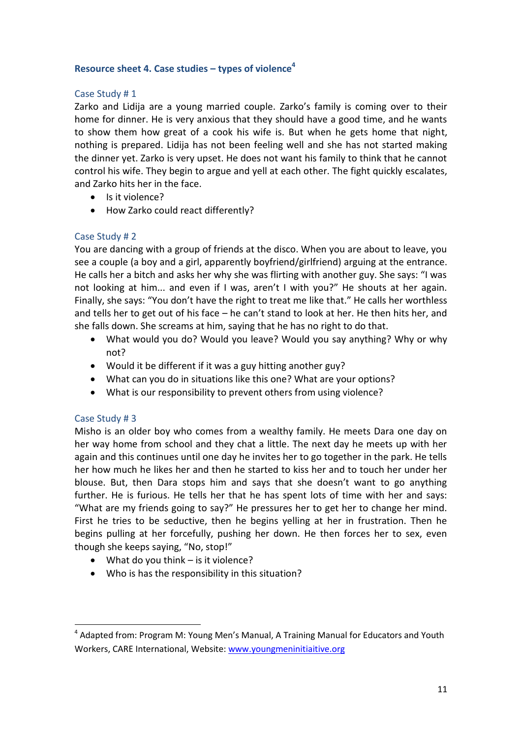## **Resource sheet 4. Case studies – types of violence<sup>4</sup>**

## Case Study # 1

Zarko and Lidija are a young married couple. Zarko's family is coming over to their home for dinner. He is very anxious that they should have a good time, and he wants to show them how great of a cook his wife is. But when he gets home that night, nothing is prepared. Lidija has not been feeling well and she has not started making the dinner yet. Zarko is very upset. He does not want his family to think that he cannot control his wife. They begin to argue and yell at each other. The fight quickly escalates, and Zarko hits her in the face.

- Is it violence?
- How Zarko could react differently?

## Case Study # 2

You are dancing with a group of friends at the disco. When you are about to leave, you see a couple (a boy and a girl, apparently boyfriend/girlfriend) arguing at the entrance. He calls her a bitch and asks her why she was flirting with another guy. She says: "I was not looking at him... and even if I was, aren't I with you?" He shouts at her again. Finally, she says: "You don't have the right to treat me like that." He calls her worthless and tells her to get out of his face – he can't stand to look at her. He then hits her, and she falls down. She screams at him, saying that he has no right to do that.

- What would you do? Would you leave? Would you say anything? Why or why not?
- Would it be different if it was a guy hitting another guy?
- What can you do in situations like this one? What are your options?
- What is our responsibility to prevent others from using violence?

#### Case Study # 3

**.** 

Misho is an older boy who comes from a wealthy family. He meets Dara one day on her way home from school and they chat a little. The next day he meets up with her again and this continues until one day he invites her to go together in the park. He tells her how much he likes her and then he started to kiss her and to touch her under her blouse. But, then Dara stops him and says that she doesn't want to go anything further. He is furious. He tells her that he has spent lots of time with her and says: "What are my friends going to say?" He pressures her to get her to change her mind. First he tries to be seductive, then he begins yelling at her in frustration. Then he begins pulling at her forcefully, pushing her down. He then forces her to sex, even though she keeps saying, "No, stop!"

- What do you think is it violence?
- Who is has the responsibility in this situation?

<sup>&</sup>lt;sup>4</sup> Adapted from: Program M: Young Men's Manual, A Training Manual for Educators and Youth Workers, CARE International, Website: [www.youngmeninitiaitive.org](http://www.youngmeninitiaitive.org/)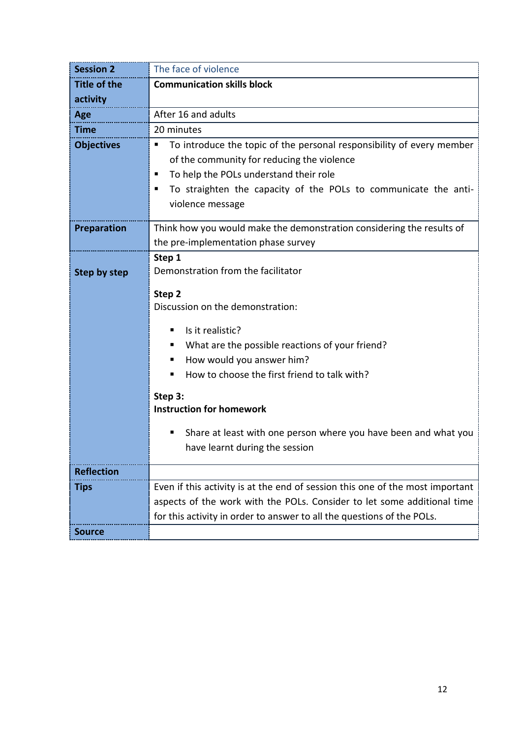| <b>Session 2</b>    | The face of violence                                                          |
|---------------------|-------------------------------------------------------------------------------|
| <b>Title of the</b> | <b>Communication skills block</b>                                             |
| activity            |                                                                               |
| Age                 | After 16 and adults                                                           |
| <b>Time</b>         | 20 minutes                                                                    |
| <b>Objectives</b>   | To introduce the topic of the personal responsibility of every member<br>ш    |
|                     | of the community for reducing the violence                                    |
|                     | To help the POLs understand their role<br>п                                   |
|                     | To straighten the capacity of the POLs to communicate the anti-<br>п          |
|                     | violence message                                                              |
| <b>Preparation</b>  | Think how you would make the demonstration considering the results of         |
|                     | the pre-implementation phase survey                                           |
|                     | Step 1                                                                        |
| Step by step        | Demonstration from the facilitator                                            |
|                     |                                                                               |
|                     | Step 2                                                                        |
|                     | Discussion on the demonstration:                                              |
|                     | Is it realistic?<br>٠                                                         |
|                     | What are the possible reactions of your friend?<br>п                          |
|                     | How would you answer him?<br>п                                                |
|                     | How to choose the first friend to talk with?<br>■                             |
|                     | Step 3:                                                                       |
|                     | <b>Instruction for homework</b>                                               |
|                     |                                                                               |
|                     | Share at least with one person where you have been and what you<br>п          |
|                     | have learnt during the session                                                |
| <b>Reflection</b>   |                                                                               |
| <b>Tips</b>         | Even if this activity is at the end of session this one of the most important |
|                     | aspects of the work with the POLs. Consider to let some additional time       |
|                     | for this activity in order to answer to all the questions of the POLs.        |
| <b>Source</b>       |                                                                               |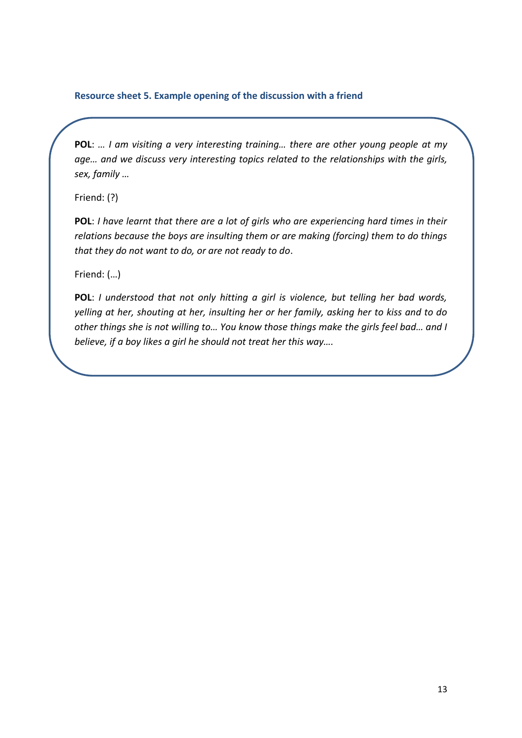#### **Resource sheet 5. Example opening of the discussion with a friend**

**POL**: *… I am visiting a very interesting training… there are other young people at my age… and we discuss very interesting topics related to the relationships with the girls, sex, family …*

Friend: (?)

**POL**: *I have learnt that there are a lot of girls who are experiencing hard times in their relations because the boys are insulting them or are making (forcing) them to do things that they do not want to do, or are not ready to do*.

Friend: (…)

**POL**: *I understood that not only hitting a girl is violence, but telling her bad words, yelling at her, shouting at her, insulting her or her family, asking her to kiss and to do other things she is not willing to… You know those things make the girls feel bad… and I believe, if a boy likes a girl he should not treat her this way….*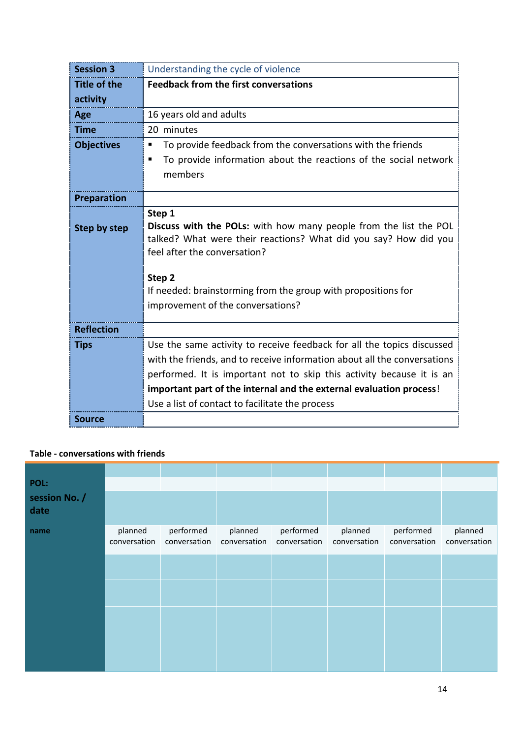| <b>Session 3</b>    | Understanding the cycle of violence                                                              |
|---------------------|--------------------------------------------------------------------------------------------------|
| <b>Title of the</b> | <b>Feedback from the first conversations</b>                                                     |
| activity            |                                                                                                  |
| Age                 | 16 years old and adults                                                                          |
| <b>Time</b>         | 20 minutes                                                                                       |
| <b>Objectives</b>   | To provide feedback from the conversations with the friends<br>п                                 |
|                     | To provide information about the reactions of the social network<br>п                            |
|                     | members                                                                                          |
| <b>Preparation</b>  |                                                                                                  |
|                     | Step 1                                                                                           |
| Step by step        | Discuss with the POLs: with how many people from the list the POL                                |
|                     | talked? What were their reactions? What did you say? How did you<br>feel after the conversation? |
|                     |                                                                                                  |
|                     | Step 2                                                                                           |
|                     | If needed: brainstorming from the group with propositions for                                    |
|                     | improvement of the conversations?                                                                |
|                     |                                                                                                  |
| <b>Reflection</b>   |                                                                                                  |
| <b>Tips</b>         | Use the same activity to receive feedback for all the topics discussed                           |
|                     | with the friends, and to receive information about all the conversations                         |
|                     | performed. It is important not to skip this activity because it is an                            |
|                     | important part of the internal and the external evaluation process!                              |
|                     | Use a list of contact to facilitate the process                                                  |
| <b>Source</b>       |                                                                                                  |

#### **Table - conversations with friends**

| POL:<br>session No. /<br>date |                         |                           |                         |                           |                         |                           |                         |
|-------------------------------|-------------------------|---------------------------|-------------------------|---------------------------|-------------------------|---------------------------|-------------------------|
| name                          | planned<br>conversation | performed<br>conversation | planned<br>conversation | performed<br>conversation | planned<br>conversation | performed<br>conversation | planned<br>conversation |
|                               |                         |                           |                         |                           |                         |                           |                         |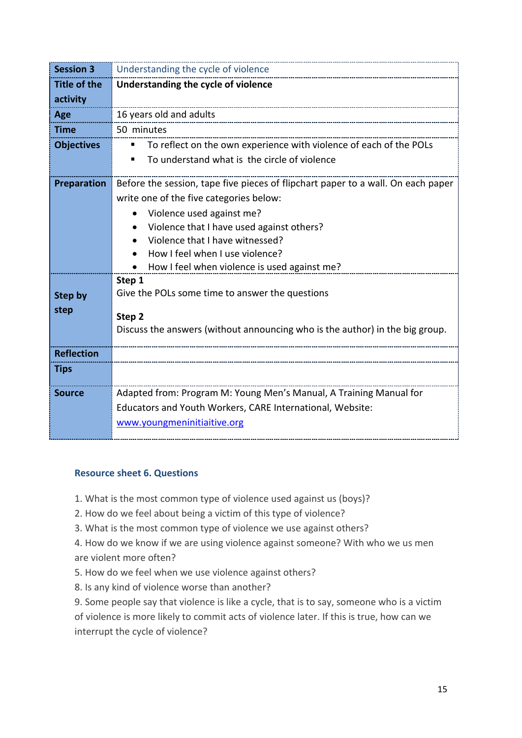| <b>Session 3</b>    | Understanding the cycle of violence                                              |
|---------------------|----------------------------------------------------------------------------------|
| <b>Title of the</b> | Understanding the cycle of violence                                              |
| activity            |                                                                                  |
| Age                 | 16 years old and adults                                                          |
| <b>Time</b>         | 50 minutes                                                                       |
| <b>Objectives</b>   | To reflect on the own experience with violence of each of the POLs               |
|                     | To understand what is the circle of violence<br>٠                                |
| Preparation         | Before the session, tape five pieces of flipchart paper to a wall. On each paper |
|                     | write one of the five categories below:                                          |
|                     | Violence used against me?                                                        |
|                     | Violence that I have used against others?                                        |
|                     | Violence that I have witnessed?                                                  |
|                     | How I feel when I use violence?                                                  |
|                     | How I feel when violence is used against me?                                     |
|                     | Step 1                                                                           |
| <b>Step by</b>      | Give the POLs some time to answer the questions                                  |
| step                | Step <sub>2</sub>                                                                |
|                     | Discuss the answers (without announcing who is the author) in the big group.     |
| <b>Reflection</b>   |                                                                                  |
| <b>Tips</b>         |                                                                                  |
| <b>Source</b>       | Adapted from: Program M: Young Men's Manual, A Training Manual for               |
|                     | Educators and Youth Workers, CARE International, Website:                        |
|                     | www.youngmeninitiaitive.org                                                      |
|                     |                                                                                  |

## **Resource sheet 6. Questions**

1. What is the most common type of violence used against us (boys)?

- 2. How do we feel about being a victim of this type of violence?
- 3. What is the most common type of violence we use against others?

4. How do we know if we are using violence against someone? With who we us men are violent more often?

5. How do we feel when we use violence against others?

8. Is any kind of violence worse than another?

9. Some people say that violence is like a cycle, that is to say, someone who is a victim of violence is more likely to commit acts of violence later. If this is true, how can we interrupt the cycle of violence?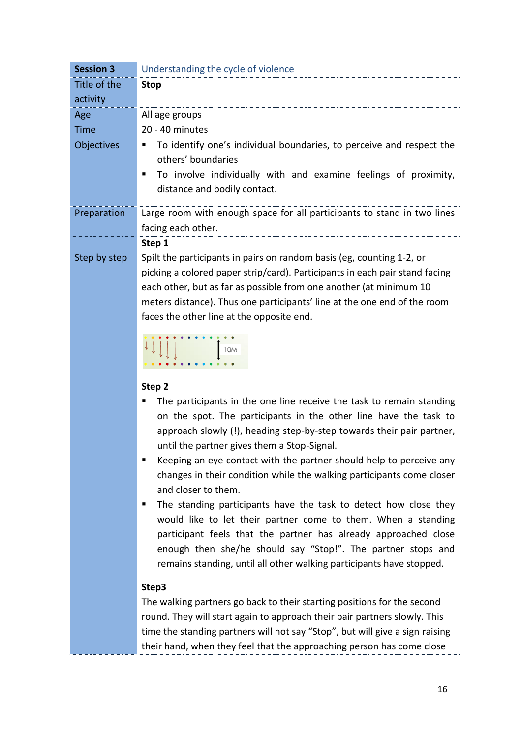| <b>Session 3</b> | Understanding the cycle of violence                                                                                                                                                                                                                                                                                                                                                                                                                                                                                                                                                                                                                                                                                                 |
|------------------|-------------------------------------------------------------------------------------------------------------------------------------------------------------------------------------------------------------------------------------------------------------------------------------------------------------------------------------------------------------------------------------------------------------------------------------------------------------------------------------------------------------------------------------------------------------------------------------------------------------------------------------------------------------------------------------------------------------------------------------|
| Title of the     | <b>Stop</b>                                                                                                                                                                                                                                                                                                                                                                                                                                                                                                                                                                                                                                                                                                                         |
| activity         |                                                                                                                                                                                                                                                                                                                                                                                                                                                                                                                                                                                                                                                                                                                                     |
| Age              | All age groups                                                                                                                                                                                                                                                                                                                                                                                                                                                                                                                                                                                                                                                                                                                      |
| <b>Time</b>      | 20 - 40 minutes                                                                                                                                                                                                                                                                                                                                                                                                                                                                                                                                                                                                                                                                                                                     |
| Objectives       | To identify one's individual boundaries, to perceive and respect the<br>п<br>others' boundaries<br>To involve individually with and examine feelings of proximity,<br>٠<br>distance and bodily contact.                                                                                                                                                                                                                                                                                                                                                                                                                                                                                                                             |
| Preparation      | Large room with enough space for all participants to stand in two lines<br>facing each other.                                                                                                                                                                                                                                                                                                                                                                                                                                                                                                                                                                                                                                       |
| Step by step     | Step 1<br>Spilt the participants in pairs on random basis (eg, counting 1-2, or<br>picking a colored paper strip/card). Participants in each pair stand facing<br>each other, but as far as possible from one another (at minimum 10<br>meters distance). Thus one participants' line at the one end of the room<br>faces the other line at the opposite end.                                                                                                                                                                                                                                                                                                                                                                       |
|                  | 10M                                                                                                                                                                                                                                                                                                                                                                                                                                                                                                                                                                                                                                                                                                                                 |
|                  | Step 2<br>The participants in the one line receive the task to remain standing<br>on the spot. The participants in the other line have the task to<br>approach slowly (!), heading step-by-step towards their pair partner,<br>until the partner gives them a Stop-Signal.<br>Keeping an eye contact with the partner should help to perceive any<br>п<br>changes in their condition while the walking participants come closer<br>and closer to them.<br>The standing participants have the task to detect how close they<br>п<br>would like to let their partner come to them. When a standing<br>participant feels that the partner has already approached close<br>enough then she/he should say "Stop!". The partner stops and |
|                  | remains standing, until all other walking participants have stopped.                                                                                                                                                                                                                                                                                                                                                                                                                                                                                                                                                                                                                                                                |
|                  | Step3<br>The walking partners go back to their starting positions for the second<br>round. They will start again to approach their pair partners slowly. This<br>time the standing partners will not say "Stop", but will give a sign raising                                                                                                                                                                                                                                                                                                                                                                                                                                                                                       |

their hand, when they feel that the approaching person has come close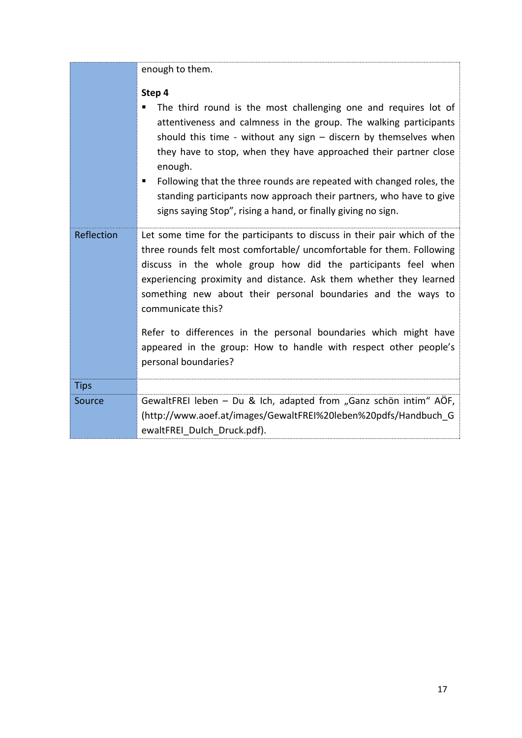|             | enough to them.                                                                                                                                                                                                                                                                                                                                                                |
|-------------|--------------------------------------------------------------------------------------------------------------------------------------------------------------------------------------------------------------------------------------------------------------------------------------------------------------------------------------------------------------------------------|
|             | Step 4<br>The third round is the most challenging one and requires lot of<br>attentiveness and calmness in the group. The walking participants                                                                                                                                                                                                                                 |
|             | should this time - without any sign $-$ discern by themselves when<br>they have to stop, when they have approached their partner close<br>enough.                                                                                                                                                                                                                              |
|             | Following that the three rounds are repeated with changed roles, the<br>п<br>standing participants now approach their partners, who have to give<br>signs saying Stop", rising a hand, or finally giving no sign.                                                                                                                                                              |
| Reflection  | Let some time for the participants to discuss in their pair which of the<br>three rounds felt most comfortable/ uncomfortable for them. Following<br>discuss in the whole group how did the participants feel when<br>experiencing proximity and distance. Ask them whether they learned<br>something new about their personal boundaries and the ways to<br>communicate this? |
|             | Refer to differences in the personal boundaries which might have<br>appeared in the group: How to handle with respect other people's<br>personal boundaries?                                                                                                                                                                                                                   |
| <b>Tips</b> |                                                                                                                                                                                                                                                                                                                                                                                |
| Source      | GewaltFREI leben - Du & Ich, adapted from "Ganz schön intim" AÖF,<br>(http://www.aoef.at/images/GewaltFREI%20leben%20pdfs/Handbuch G<br>ewaltFREI Dulch Druck.pdf).                                                                                                                                                                                                            |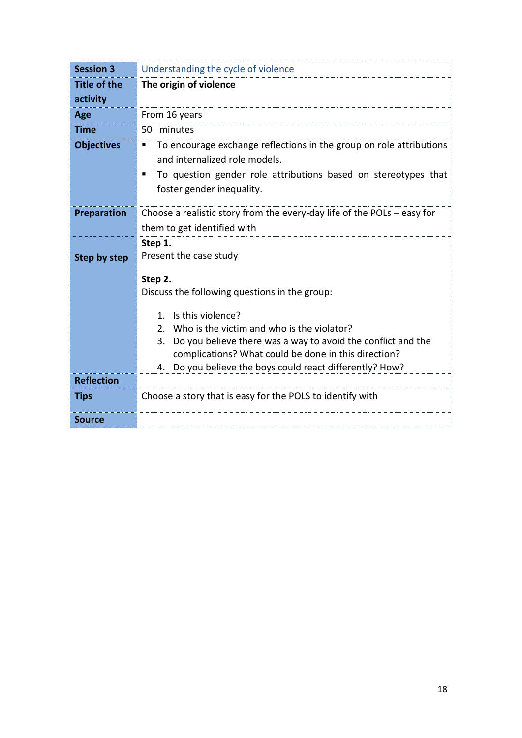| <b>Session 3</b>    | Understanding the cycle of violence                                                                                                                                                                                                                                                                                                                                                |
|---------------------|------------------------------------------------------------------------------------------------------------------------------------------------------------------------------------------------------------------------------------------------------------------------------------------------------------------------------------------------------------------------------------|
| <b>Title of the</b> | The origin of violence                                                                                                                                                                                                                                                                                                                                                             |
| activity            |                                                                                                                                                                                                                                                                                                                                                                                    |
| Age                 | From 16 years                                                                                                                                                                                                                                                                                                                                                                      |
| <b>Time</b>         | 50 minutes                                                                                                                                                                                                                                                                                                                                                                         |
| <b>Objectives</b>   | To encourage exchange reflections in the group on role attributions<br>٠<br>and internalized role models.<br>To question gender role attributions based on stereotypes that<br>п<br>foster gender inequality.                                                                                                                                                                      |
| Preparation         | Choose a realistic story from the every-day life of the POLs $-$ easy for<br>them to get identified with                                                                                                                                                                                                                                                                           |
| Step by step        | Step 1.<br>Present the case study<br>Step 2.<br>Discuss the following questions in the group:<br>Is this violence?<br>1.<br>Who is the victim and who is the violator?<br>2 <sup>1</sup><br>Do you believe there was a way to avoid the conflict and the<br>3.<br>complications? What could be done in this direction?<br>4. Do you believe the boys could react differently? How? |
| <b>Reflection</b>   |                                                                                                                                                                                                                                                                                                                                                                                    |
| <b>Tips</b>         | Choose a story that is easy for the POLS to identify with                                                                                                                                                                                                                                                                                                                          |
| <b>Source</b>       |                                                                                                                                                                                                                                                                                                                                                                                    |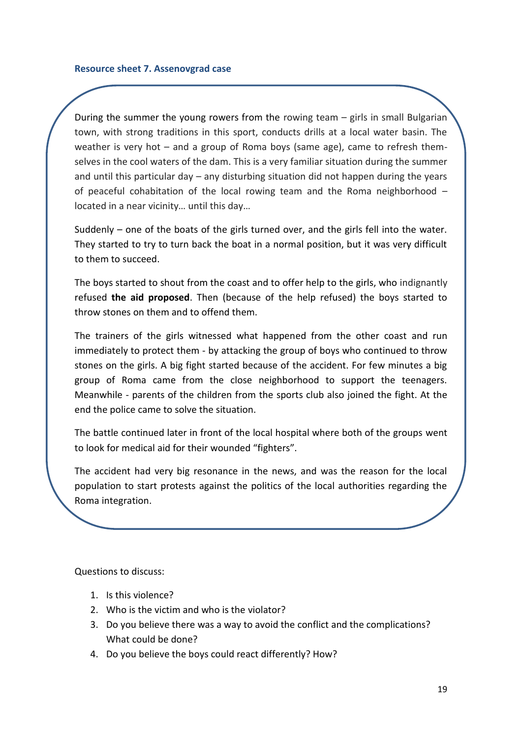During the summer the young rowers from the rowing team – girls in small Bulgarian town, with strong traditions in this sport, conducts drills at a local water basin. The weather is very hot – and a group of Roma boys (same age), came to refresh themselves in the cool waters of the dam. This is a very familiar situation during the summer and until this particular day – any disturbing situation did not happen during the years of peaceful cohabitation of the local rowing team and the Roma neighborhood – located in a near vicinity… until this day…

Suddenly – one of the boats of the girls turned over, and the girls fell into the water. They started to try to turn back the boat in a normal position, but it was very difficult to them to succeed.

The boys started to shout from the coast and to offer help to the girls, who indignantly refused **the aid proposed**. Then (because of the help refused) the boys started to throw stones on them and to offend them.

The trainers of the girls witnessed what happened from the other coast and run immediately to protect them - by attacking the group of boys who continued to throw stones on the girls. A big fight started because of the accident. For few minutes a big group of Roma came from the close neighborhood to support the teenagers. Meanwhile - parents of the children from the sports club also joined the fight. At the end the police came to solve the situation.

The battle continued later in front of the local hospital where both of the groups went to look for medical aid for their wounded "fighters".

The accident had very big resonance in the news, and was the reason for the local population to start protests against the politics of the local authorities regarding the Roma integration.

Questions to discuss:

- 1. Is this violence?
- 2. Who is the victim and who is the violator?
- 3. Do you believe there was a way to avoid the conflict and the complications? What could be done?
- 4. Do you believe the boys could react differently? How?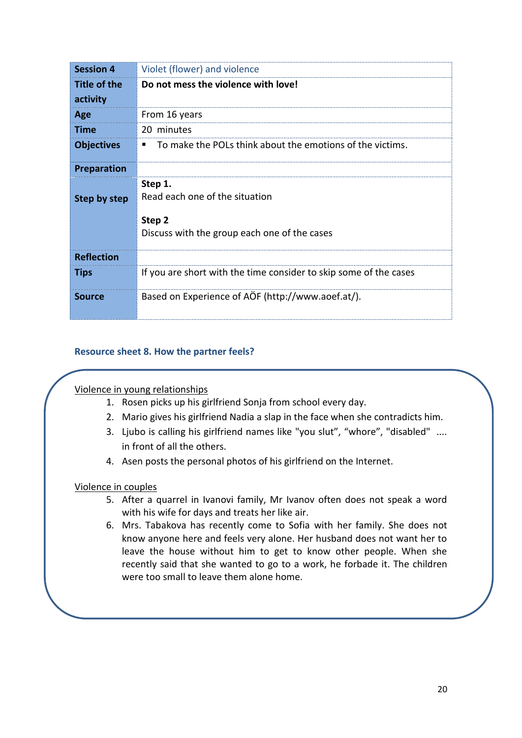| <b>Session 4</b>    | Violet (flower) and violence                                                                        |
|---------------------|-----------------------------------------------------------------------------------------------------|
| <b>Title of the</b> | Do not mess the violence with love!                                                                 |
| activity            |                                                                                                     |
| Age                 | From 16 years                                                                                       |
| <b>Time</b>         | 20 minutes                                                                                          |
| <b>Objectives</b>   | To make the POLs think about the emotions of the victims.                                           |
| <b>Preparation</b>  |                                                                                                     |
| Step by step        | Step 1.<br>Read each one of the situation<br>Step 2<br>Discuss with the group each one of the cases |
| <b>Reflection</b>   |                                                                                                     |
| <b>Tips</b>         | If you are short with the time consider to skip some of the cases                                   |
| <b>Source</b>       | Based on Experience of AÖF (http://www.aoef.at/).                                                   |

## **Resource sheet 8. How the partner feels?**

## Violence in young relationships

- 1. Rosen picks up his girlfriend Sonja from school every day.
- 2. Mario gives his girlfriend Nadia a slap in the face when she contradicts him.
- 3. Ljubo is calling his girlfriend names like "you slut", "whore", "disabled" .... in front of all the others.
- 4. Asen posts the personal photos of his girlfriend on the Internet.

#### Violence in couples

- 5. After a quarrel in Ivanovi family, Mr Ivanov often does not speak a word with his wife for days and treats her like air.
- 6. Mrs. Tabakova has recently come to Sofia with her family. She does not know anyone here and feels very alone. Her husband does not want her to leave the house without him to get to know other people. When she recently said that she wanted to go to a work, he forbade it. The children were too small to leave them alone home.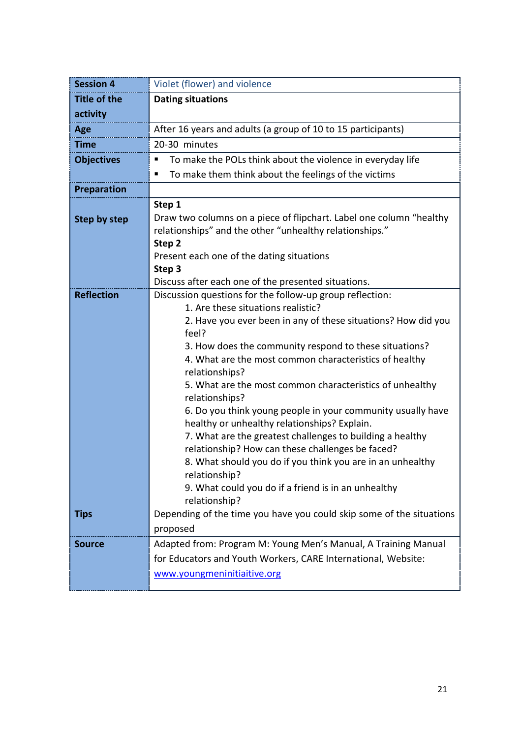| <b>Session 4</b>    | Violet (flower) and violence                                                                                                                                                                                                                                                                                                                                                                                                                                                                                                                                                                                                                                                                                                                                                        |
|---------------------|-------------------------------------------------------------------------------------------------------------------------------------------------------------------------------------------------------------------------------------------------------------------------------------------------------------------------------------------------------------------------------------------------------------------------------------------------------------------------------------------------------------------------------------------------------------------------------------------------------------------------------------------------------------------------------------------------------------------------------------------------------------------------------------|
| <b>Title of the</b> | <b>Dating situations</b>                                                                                                                                                                                                                                                                                                                                                                                                                                                                                                                                                                                                                                                                                                                                                            |
| activity            |                                                                                                                                                                                                                                                                                                                                                                                                                                                                                                                                                                                                                                                                                                                                                                                     |
| Age                 | After 16 years and adults (a group of 10 to 15 participants)                                                                                                                                                                                                                                                                                                                                                                                                                                                                                                                                                                                                                                                                                                                        |
| <b>Time</b>         | 20-30 minutes                                                                                                                                                                                                                                                                                                                                                                                                                                                                                                                                                                                                                                                                                                                                                                       |
| <b>Objectives</b>   | To make the POLs think about the violence in everyday life<br>п                                                                                                                                                                                                                                                                                                                                                                                                                                                                                                                                                                                                                                                                                                                     |
|                     | To make them think about the feelings of the victims<br>п                                                                                                                                                                                                                                                                                                                                                                                                                                                                                                                                                                                                                                                                                                                           |
| Preparation         |                                                                                                                                                                                                                                                                                                                                                                                                                                                                                                                                                                                                                                                                                                                                                                                     |
| Step by step        | Step 1<br>Draw two columns on a piece of flipchart. Label one column "healthy<br>relationships" and the other "unhealthy relationships."<br>Step 2                                                                                                                                                                                                                                                                                                                                                                                                                                                                                                                                                                                                                                  |
|                     | Present each one of the dating situations<br>Step 3<br>Discuss after each one of the presented situations.                                                                                                                                                                                                                                                                                                                                                                                                                                                                                                                                                                                                                                                                          |
| <b>Reflection</b>   | Discussion questions for the follow-up group reflection:<br>1. Are these situations realistic?<br>2. Have you ever been in any of these situations? How did you<br>feel?<br>3. How does the community respond to these situations?<br>4. What are the most common characteristics of healthy<br>relationships?<br>5. What are the most common characteristics of unhealthy<br>relationships?<br>6. Do you think young people in your community usually have<br>healthy or unhealthy relationships? Explain.<br>7. What are the greatest challenges to building a healthy<br>relationship? How can these challenges be faced?<br>8. What should you do if you think you are in an unhealthy<br>relationship?<br>9. What could you do if a friend is in an unhealthy<br>relationship? |
| <b>Tips</b>         | Depending of the time you have you could skip some of the situations<br>proposed                                                                                                                                                                                                                                                                                                                                                                                                                                                                                                                                                                                                                                                                                                    |
| <b>Source</b>       | Adapted from: Program M: Young Men's Manual, A Training Manual<br>for Educators and Youth Workers, CARE International, Website:<br>www.youngmeninitiaitive.org                                                                                                                                                                                                                                                                                                                                                                                                                                                                                                                                                                                                                      |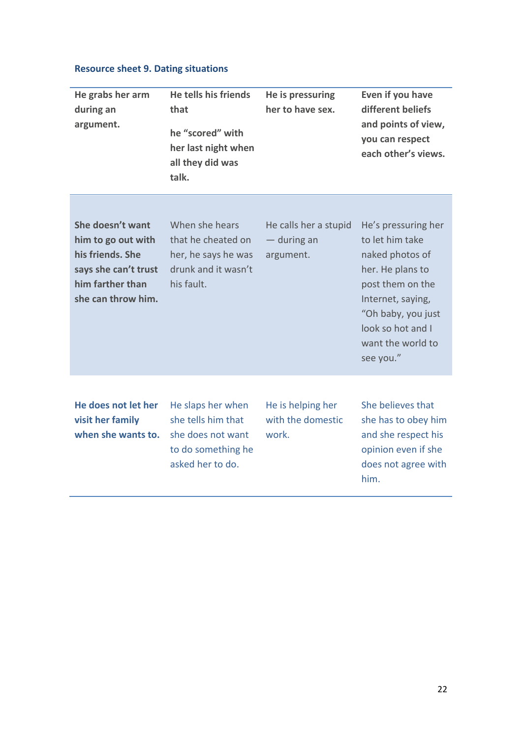# **Resource sheet 9. Dating situations**

| He grabs her arm<br>during an<br>argument.                                                                                   | He tells his friends<br>that<br>he "scored" with<br>her last night when<br>all they did was<br>talk.   | He is pressuring<br>her to have sex.              | Even if you have<br>different beliefs<br>and points of view,<br>you can respect<br>each other's views.                                                                                              |
|------------------------------------------------------------------------------------------------------------------------------|--------------------------------------------------------------------------------------------------------|---------------------------------------------------|-----------------------------------------------------------------------------------------------------------------------------------------------------------------------------------------------------|
| She doesn't want<br>him to go out with<br>his friends. She<br>says she can't trust<br>him farther than<br>she can throw him. | When she hears<br>that he cheated on<br>her, he says he was<br>drunk and it wasn't<br>his fault.       | He calls her a stupid<br>— during an<br>argument. | He's pressuring her<br>to let him take<br>naked photos of<br>her. He plans to<br>post them on the<br>Internet, saying,<br>"Oh baby, you just<br>look so hot and I<br>want the world to<br>see you." |
| He does not let her<br>visit her family<br>when she wants to.                                                                | He slaps her when<br>she tells him that<br>she does not want<br>to do something he<br>asked her to do. | He is helping her<br>with the domestic<br>work.   | She believes that<br>she has to obey him<br>and she respect his<br>opinion even if she<br>does not agree with<br>him.                                                                               |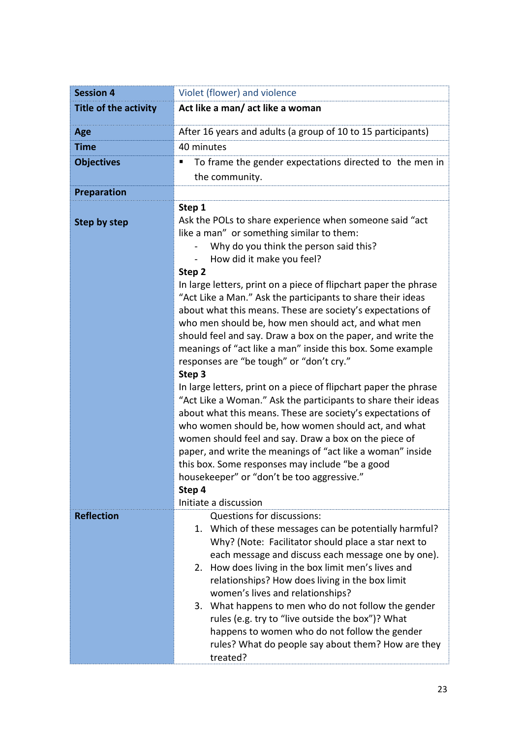| <b>Session 4</b>             | Violet (flower) and violence                                                                                                                                                                                                                                                                                                                                                                                                                                                                                                                                                         |  |  |
|------------------------------|--------------------------------------------------------------------------------------------------------------------------------------------------------------------------------------------------------------------------------------------------------------------------------------------------------------------------------------------------------------------------------------------------------------------------------------------------------------------------------------------------------------------------------------------------------------------------------------|--|--|
| <b>Title of the activity</b> | Act like a man/ act like a woman                                                                                                                                                                                                                                                                                                                                                                                                                                                                                                                                                     |  |  |
| Age                          | After 16 years and adults (a group of 10 to 15 participants)                                                                                                                                                                                                                                                                                                                                                                                                                                                                                                                         |  |  |
| <b>Time</b>                  | 40 minutes                                                                                                                                                                                                                                                                                                                                                                                                                                                                                                                                                                           |  |  |
| <b>Objectives</b>            | To frame the gender expectations directed to the men in<br>п<br>the community.                                                                                                                                                                                                                                                                                                                                                                                                                                                                                                       |  |  |
| <b>Preparation</b>           |                                                                                                                                                                                                                                                                                                                                                                                                                                                                                                                                                                                      |  |  |
| <b>Step by step</b>          | Step 1<br>Ask the POLs to share experience when someone said "act<br>like a man" or something similar to them:<br>Why do you think the person said this?<br>How did it make you feel?<br>Step 2<br>In large letters, print on a piece of flipchart paper the phrase<br>"Act Like a Man." Ask the participants to share their ideas<br>about what this means. These are society's expectations of<br>who men should be, how men should act, and what men<br>should feel and say. Draw a box on the paper, and write the<br>meanings of "act like a man" inside this box. Some example |  |  |
|                              | responses are "be tough" or "don't cry."<br>Step 3<br>In large letters, print on a piece of flipchart paper the phrase<br>"Act Like a Woman." Ask the participants to share their ideas<br>about what this means. These are society's expectations of<br>who women should be, how women should act, and what<br>women should feel and say. Draw a box on the piece of<br>paper, and write the meanings of "act like a woman" inside<br>this box. Some responses may include "be a good<br>housekeeper" or "don't be too aggressive."<br>Step 4<br>Initiate a discussion              |  |  |
| <b>Reflection</b>            | Questions for discussions:<br>1. Which of these messages can be potentially harmful?<br>Why? (Note: Facilitator should place a star next to<br>each message and discuss each message one by one).<br>How does living in the box limit men's lives and<br>2.<br>relationships? How does living in the box limit<br>women's lives and relationships?<br>3. What happens to men who do not follow the gender<br>rules (e.g. try to "live outside the box")? What<br>happens to women who do not follow the gender<br>rules? What do people say about them? How are they<br>treated?     |  |  |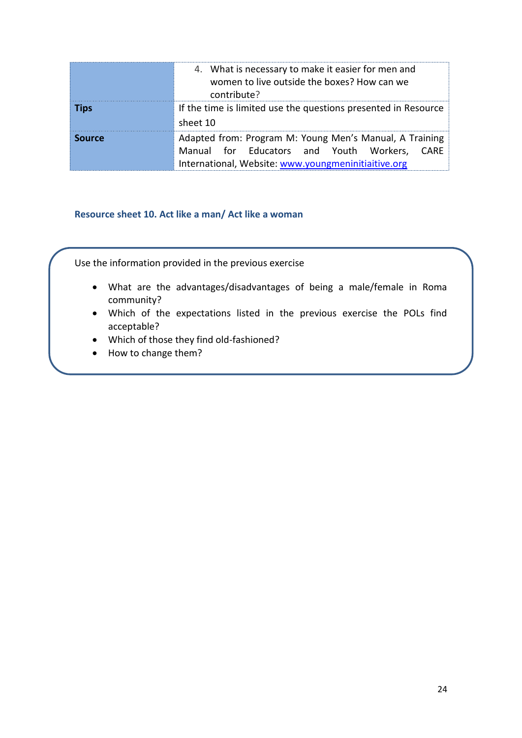|               | 4. What is necessary to make it easier for men and<br>women to live outside the boxes? How can we<br>contribute?                                               |
|---------------|----------------------------------------------------------------------------------------------------------------------------------------------------------------|
| <b>Tips</b>   | If the time is limited use the questions presented in Resource<br>sheet 10                                                                                     |
| <b>Source</b> | Adapted from: Program M: Young Men's Manual, A Training<br>Manual for Educators and Youth Workers, CARE<br>International, Website: www.youngmeninitiaitive.org |

#### **Resource sheet 10. Act like a man/ Act like a woman**

Use the information provided in the previous exercise

- What are the advantages/disadvantages of being a male/female in Roma community?
- Which of the expectations listed in the previous exercise the POLs find acceptable?
- Which of those they find old-fashioned?
- How to change them?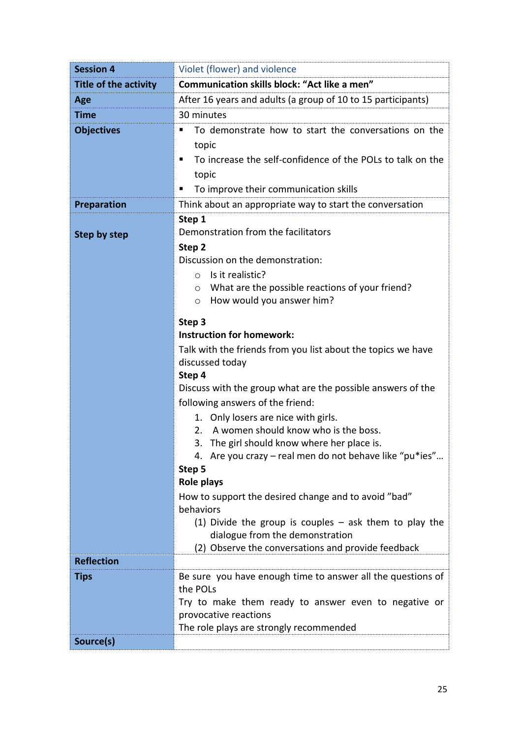| <b>Session 4</b>             | Violet (flower) and violence                                                                           |  |  |  |
|------------------------------|--------------------------------------------------------------------------------------------------------|--|--|--|
| <b>Title of the activity</b> | Communication skills block: "Act like a men"                                                           |  |  |  |
| Age                          | After 16 years and adults (a group of 10 to 15 participants)                                           |  |  |  |
| <b>Time</b>                  | 30 minutes                                                                                             |  |  |  |
| <b>Objectives</b>            | To demonstrate how to start the conversations on the                                                   |  |  |  |
|                              | topic                                                                                                  |  |  |  |
|                              | To increase the self-confidence of the POLs to talk on the<br>٠                                        |  |  |  |
|                              | topic                                                                                                  |  |  |  |
|                              | To improve their communication skills<br>Ξ                                                             |  |  |  |
| <b>Preparation</b>           | Think about an appropriate way to start the conversation                                               |  |  |  |
|                              | Step 1                                                                                                 |  |  |  |
| <b>Step by step</b>          | Demonstration from the facilitators                                                                    |  |  |  |
|                              | Step 2                                                                                                 |  |  |  |
|                              | Discussion on the demonstration:                                                                       |  |  |  |
|                              | Is it realistic?<br>$\circ$                                                                            |  |  |  |
|                              | What are the possible reactions of your friend?<br>O                                                   |  |  |  |
|                              | How would you answer him?<br>$\circ$                                                                   |  |  |  |
|                              | Step 3                                                                                                 |  |  |  |
|                              | <b>Instruction for homework:</b>                                                                       |  |  |  |
|                              | Talk with the friends from you list about the topics we have                                           |  |  |  |
|                              | discussed today                                                                                        |  |  |  |
|                              | Step 4                                                                                                 |  |  |  |
|                              | Discuss with the group what are the possible answers of the                                            |  |  |  |
|                              | following answers of the friend:                                                                       |  |  |  |
|                              | 1. Only losers are nice with girls.<br>A women should know who is the boss.                            |  |  |  |
|                              | 2.                                                                                                     |  |  |  |
|                              | 3. The girl should know where her place is.<br>4. Are you crazy - real men do not behave like "pu*ies" |  |  |  |
|                              | Step 5                                                                                                 |  |  |  |
|                              | Role plays                                                                                             |  |  |  |
|                              | How to support the desired change and to avoid "bad"                                                   |  |  |  |
|                              | behaviors                                                                                              |  |  |  |
|                              | (1) Divide the group is couples $-$ ask them to play the                                               |  |  |  |
|                              | dialogue from the demonstration                                                                        |  |  |  |
|                              | (2) Observe the conversations and provide feedback                                                     |  |  |  |
| <b>Reflection</b>            |                                                                                                        |  |  |  |
| Tips                         | Be sure you have enough time to answer all the questions of<br>the POLs                                |  |  |  |
|                              | Try to make them ready to answer even to negative or                                                   |  |  |  |
|                              | provocative reactions                                                                                  |  |  |  |
|                              | The role plays are strongly recommended                                                                |  |  |  |
| Source(s)                    |                                                                                                        |  |  |  |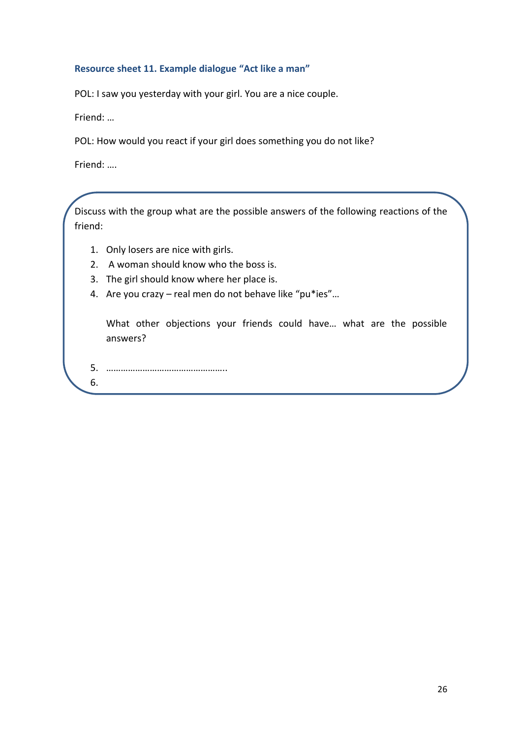#### **Resource sheet 11. Example dialogue "Act like a man"**

POL: I saw you yesterday with your girl. You are a nice couple.

Friend: …

POL: How would you react if your girl does something you do not like?

Friend: ….

Discuss with the group what are the possible answers of the following reactions of the friend:

- 1. Only losers are nice with girls.
- 2. A woman should know who the boss is.
- 3. The girl should know where her place is.
- 4. Are you crazy real men do not behave like "pu\*ies"…

What other objections your friends could have… what are the possible answers?

5. …………………………………………..

6.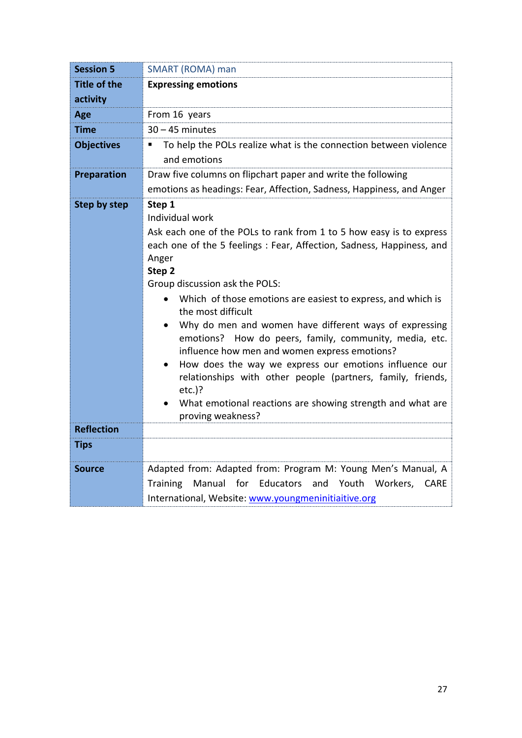| <b>Session 5</b>                  | SMART (ROMA) man                                                                                                                                                                                                                                                                                                                                                                                                                                                                                                                                                                                                                                                                                                                                                       |
|-----------------------------------|------------------------------------------------------------------------------------------------------------------------------------------------------------------------------------------------------------------------------------------------------------------------------------------------------------------------------------------------------------------------------------------------------------------------------------------------------------------------------------------------------------------------------------------------------------------------------------------------------------------------------------------------------------------------------------------------------------------------------------------------------------------------|
| <b>Title of the</b>               | <b>Expressing emotions</b>                                                                                                                                                                                                                                                                                                                                                                                                                                                                                                                                                                                                                                                                                                                                             |
| activity                          |                                                                                                                                                                                                                                                                                                                                                                                                                                                                                                                                                                                                                                                                                                                                                                        |
| Age                               | From 16 years                                                                                                                                                                                                                                                                                                                                                                                                                                                                                                                                                                                                                                                                                                                                                          |
| <b>Time</b>                       | $30 - 45$ minutes                                                                                                                                                                                                                                                                                                                                                                                                                                                                                                                                                                                                                                                                                                                                                      |
| <b>Objectives</b>                 | To help the POLs realize what is the connection between violence<br>٠<br>and emotions                                                                                                                                                                                                                                                                                                                                                                                                                                                                                                                                                                                                                                                                                  |
| Preparation                       | Draw five columns on flipchart paper and write the following                                                                                                                                                                                                                                                                                                                                                                                                                                                                                                                                                                                                                                                                                                           |
|                                   | emotions as headings: Fear, Affection, Sadness, Happiness, and Anger                                                                                                                                                                                                                                                                                                                                                                                                                                                                                                                                                                                                                                                                                                   |
| Step by step<br><b>Reflection</b> | Step 1<br>Individual work<br>Ask each one of the POLs to rank from 1 to 5 how easy is to express<br>each one of the 5 feelings : Fear, Affection, Sadness, Happiness, and<br>Anger<br>Step 2<br>Group discussion ask the POLS:<br>Which of those emotions are easiest to express, and which is<br>$\bullet$<br>the most difficult<br>Why do men and women have different ways of expressing<br>$\bullet$<br>emotions? How do peers, family, community, media, etc.<br>influence how men and women express emotions?<br>How does the way we express our emotions influence our<br>$\bullet$<br>relationships with other people (partners, family, friends,<br>$etc.$ )?<br>What emotional reactions are showing strength and what are<br>$\bullet$<br>proving weakness? |
| <b>Tips</b>                       |                                                                                                                                                                                                                                                                                                                                                                                                                                                                                                                                                                                                                                                                                                                                                                        |
|                                   |                                                                                                                                                                                                                                                                                                                                                                                                                                                                                                                                                                                                                                                                                                                                                                        |
| <b>Source</b>                     | Adapted from: Adapted from: Program M: Young Men's Manual, A<br>Manual for Educators and Youth Workers, CARE<br><b>Training</b><br>International, Website: www.youngmeninitiaitive.org                                                                                                                                                                                                                                                                                                                                                                                                                                                                                                                                                                                 |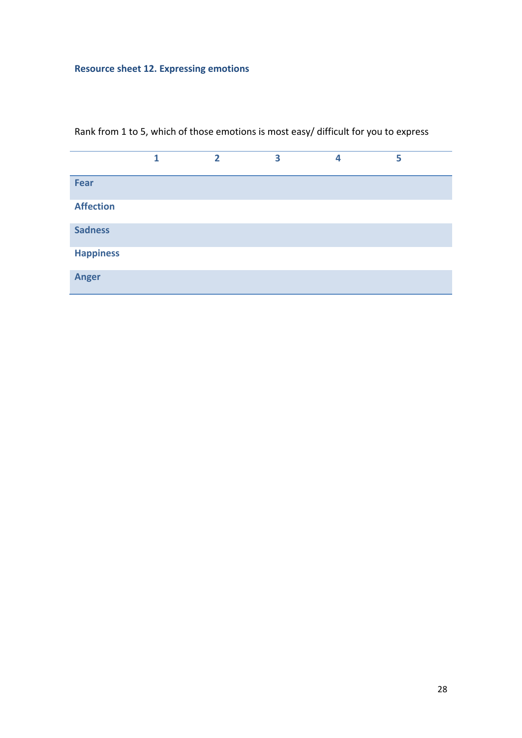# **Resource sheet 12. Expressing emotions**

|                  | 1 | $\overline{2}$ | 3 | 4 | 5 |
|------------------|---|----------------|---|---|---|
| Fear             |   |                |   |   |   |
| <b>Affection</b> |   |                |   |   |   |
| <b>Sadness</b>   |   |                |   |   |   |
| <b>Happiness</b> |   |                |   |   |   |
| <b>Anger</b>     |   |                |   |   |   |

Rank from 1 to 5, which of those emotions is most easy/ difficult for you to express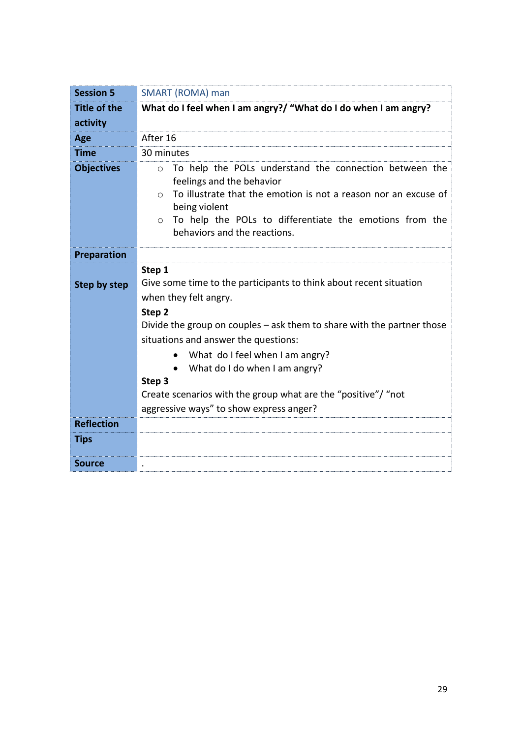| <b>Session 5</b>    | <b>SMART (ROMA) man</b>                                                                                                                                                                                                                                                                                                                                                                                                                  |  |  |  |  |
|---------------------|------------------------------------------------------------------------------------------------------------------------------------------------------------------------------------------------------------------------------------------------------------------------------------------------------------------------------------------------------------------------------------------------------------------------------------------|--|--|--|--|
| <b>Title of the</b> | What do I feel when I am angry?/ "What do I do when I am angry?                                                                                                                                                                                                                                                                                                                                                                          |  |  |  |  |
| activity            |                                                                                                                                                                                                                                                                                                                                                                                                                                          |  |  |  |  |
| Age                 | After 16                                                                                                                                                                                                                                                                                                                                                                                                                                 |  |  |  |  |
| <b>Time</b>         | 30 minutes                                                                                                                                                                                                                                                                                                                                                                                                                               |  |  |  |  |
| <b>Objectives</b>   | To help the POLs understand the connection between the<br>$\circ$<br>feelings and the behavior<br>To illustrate that the emotion is not a reason nor an excuse of<br>$\Omega$<br>being violent<br>To help the POLs to differentiate the emotions from the<br>$\circ$<br>behaviors and the reactions.                                                                                                                                     |  |  |  |  |
| Preparation         |                                                                                                                                                                                                                                                                                                                                                                                                                                          |  |  |  |  |
| <b>Step by step</b> | Step 1<br>Give some time to the participants to think about recent situation<br>when they felt angry.<br>Step 2<br>Divide the group on couples – ask them to share with the partner those<br>situations and answer the questions:<br>What do I feel when I am angry?<br>$\bullet$<br>What do I do when I am angry?<br>Step 3<br>Create scenarios with the group what are the "positive"/ "not<br>aggressive ways" to show express anger? |  |  |  |  |
| <b>Reflection</b>   |                                                                                                                                                                                                                                                                                                                                                                                                                                          |  |  |  |  |
| <b>Tips</b>         |                                                                                                                                                                                                                                                                                                                                                                                                                                          |  |  |  |  |
| <b>Source</b>       |                                                                                                                                                                                                                                                                                                                                                                                                                                          |  |  |  |  |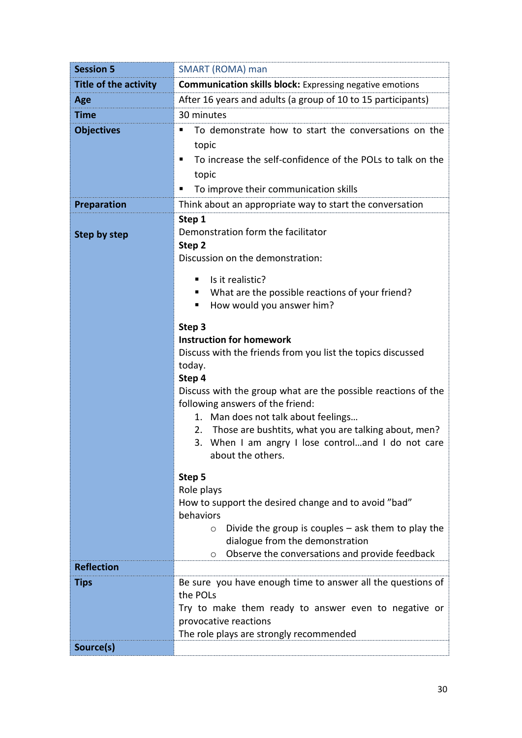| <b>Session 5</b>                                          | SMART (ROMA) man                                                                             |  |  |  |  |
|-----------------------------------------------------------|----------------------------------------------------------------------------------------------|--|--|--|--|
| Title of the activity                                     | <b>Communication skills block:</b> Expressing negative emotions                              |  |  |  |  |
| Age                                                       | After 16 years and adults (a group of 10 to 15 participants)                                 |  |  |  |  |
| <b>Time</b>                                               | 30 minutes                                                                                   |  |  |  |  |
| <b>Objectives</b>                                         | To demonstrate how to start the conversations on the                                         |  |  |  |  |
|                                                           | topic                                                                                        |  |  |  |  |
|                                                           | To increase the self-confidence of the POLs to talk on the<br>п                              |  |  |  |  |
|                                                           | topic                                                                                        |  |  |  |  |
|                                                           | To improve their communication skills<br>п                                                   |  |  |  |  |
| <b>Preparation</b>                                        | Think about an appropriate way to start the conversation                                     |  |  |  |  |
|                                                           | Step 1                                                                                       |  |  |  |  |
| Demonstration form the facilitator<br><b>Step by step</b> |                                                                                              |  |  |  |  |
|                                                           | Step 2                                                                                       |  |  |  |  |
|                                                           | Discussion on the demonstration:                                                             |  |  |  |  |
|                                                           | Is it realistic?<br>٠                                                                        |  |  |  |  |
|                                                           | What are the possible reactions of your friend?                                              |  |  |  |  |
|                                                           | How would you answer him?<br>п                                                               |  |  |  |  |
|                                                           | Step 3                                                                                       |  |  |  |  |
|                                                           | <b>Instruction for homework</b>                                                              |  |  |  |  |
|                                                           | Discuss with the friends from you list the topics discussed                                  |  |  |  |  |
|                                                           | today.                                                                                       |  |  |  |  |
|                                                           | Step 4<br>Discuss with the group what are the possible reactions of the                      |  |  |  |  |
|                                                           | following answers of the friend:                                                             |  |  |  |  |
|                                                           | 1. Man does not talk about feelings                                                          |  |  |  |  |
|                                                           | Those are bushtits, what you are talking about, men?<br>2.                                   |  |  |  |  |
|                                                           | 3. When I am angry I lose controland I do not care                                           |  |  |  |  |
|                                                           | about the others.                                                                            |  |  |  |  |
|                                                           | Step 5                                                                                       |  |  |  |  |
|                                                           | Role plays                                                                                   |  |  |  |  |
|                                                           | How to support the desired change and to avoid "bad"                                         |  |  |  |  |
|                                                           | behaviors                                                                                    |  |  |  |  |
|                                                           | Divide the group is couples $-$ ask them to play the<br>$\circ$                              |  |  |  |  |
|                                                           | dialogue from the demonstration<br>Observe the conversations and provide feedback<br>$\circ$ |  |  |  |  |
| <b>Reflection</b>                                         |                                                                                              |  |  |  |  |
| <b>Tips</b>                                               | Be sure you have enough time to answer all the questions of                                  |  |  |  |  |
|                                                           | the POLs                                                                                     |  |  |  |  |
|                                                           | Try to make them ready to answer even to negative or                                         |  |  |  |  |
|                                                           | provocative reactions                                                                        |  |  |  |  |
|                                                           | The role plays are strongly recommended                                                      |  |  |  |  |
| Source(s)                                                 |                                                                                              |  |  |  |  |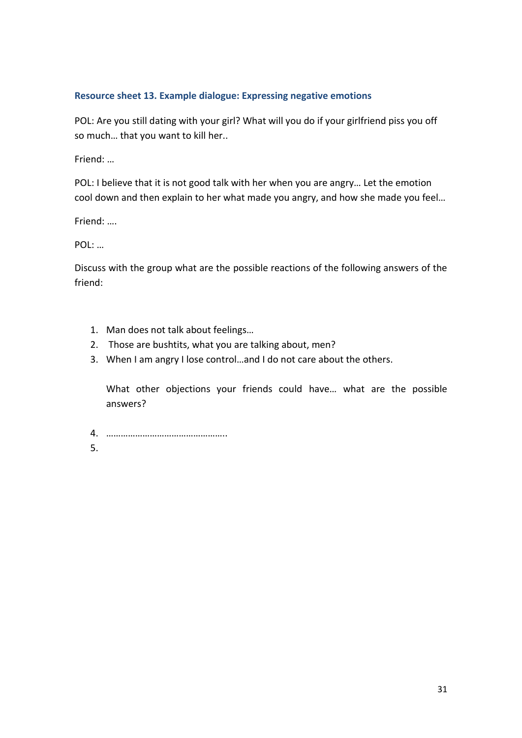## **Resource sheet 13. Example dialogue: Expressing negative emotions**

POL: Are you still dating with your girl? What will you do if your girlfriend piss you off so much… that you want to kill her..

Friend: …

POL: I believe that it is not good talk with her when you are angry… Let the emotion cool down and then explain to her what made you angry, and how she made you feel…

Friend: ….

POL: …

Discuss with the group what are the possible reactions of the following answers of the friend:

- 1. Man does not talk about feelings…
- 2. Those are bushtits, what you are talking about, men?
- 3. When I am angry I lose control…and I do not care about the others.

What other objections your friends could have… what are the possible answers?

- 4. …………………………………………..
- 5.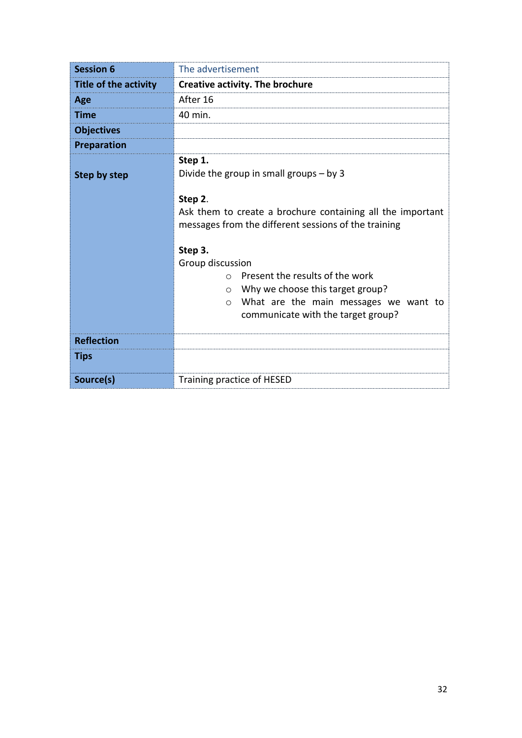| <b>Session 6</b>             | The advertisement                                                                                                                                                                                                                                                                                                                                                                                    |
|------------------------------|------------------------------------------------------------------------------------------------------------------------------------------------------------------------------------------------------------------------------------------------------------------------------------------------------------------------------------------------------------------------------------------------------|
| <b>Title of the activity</b> | <b>Creative activity. The brochure</b>                                                                                                                                                                                                                                                                                                                                                               |
| Age                          | After 16                                                                                                                                                                                                                                                                                                                                                                                             |
| <b>Time</b>                  | 40 min.                                                                                                                                                                                                                                                                                                                                                                                              |
| <b>Objectives</b>            |                                                                                                                                                                                                                                                                                                                                                                                                      |
| <b>Preparation</b>           |                                                                                                                                                                                                                                                                                                                                                                                                      |
| Step by step                 | Step 1.<br>Divide the group in small groups $-$ by 3<br>Step 2.<br>Ask them to create a brochure containing all the important<br>messages from the different sessions of the training<br>Step 3.<br>Group discussion<br>Present the results of the work<br>$\cap$<br>Why we choose this target group?<br>$\circ$<br>What are the main messages we want to<br>O<br>communicate with the target group? |
| <b>Reflection</b>            |                                                                                                                                                                                                                                                                                                                                                                                                      |
| <b>Tips</b>                  |                                                                                                                                                                                                                                                                                                                                                                                                      |
| Source(s)                    | Training practice of HESED                                                                                                                                                                                                                                                                                                                                                                           |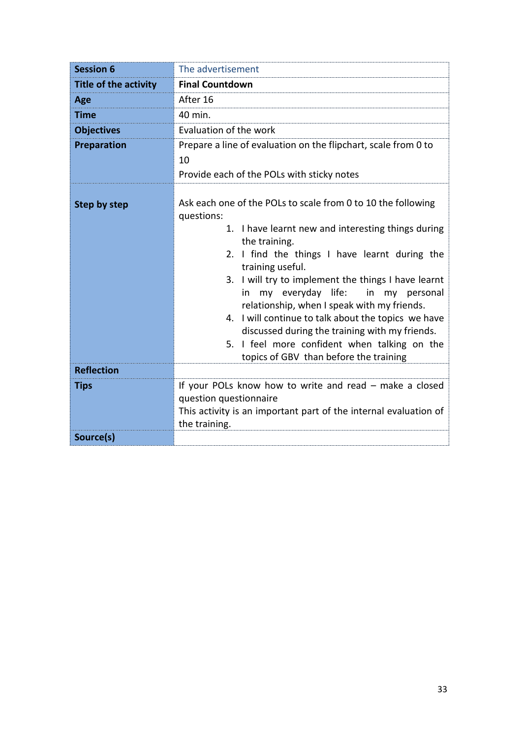| <b>Session 6</b>                  | The advertisement                                                                                                                                                                                                                                                                                                                                                                                                                                                                                                                                                               |  |  |  |
|-----------------------------------|---------------------------------------------------------------------------------------------------------------------------------------------------------------------------------------------------------------------------------------------------------------------------------------------------------------------------------------------------------------------------------------------------------------------------------------------------------------------------------------------------------------------------------------------------------------------------------|--|--|--|
| Title of the activity             | <b>Final Countdown</b>                                                                                                                                                                                                                                                                                                                                                                                                                                                                                                                                                          |  |  |  |
| Age                               | After 16                                                                                                                                                                                                                                                                                                                                                                                                                                                                                                                                                                        |  |  |  |
| <b>Time</b>                       | 40 min.                                                                                                                                                                                                                                                                                                                                                                                                                                                                                                                                                                         |  |  |  |
| <b>Objectives</b>                 | Evaluation of the work                                                                                                                                                                                                                                                                                                                                                                                                                                                                                                                                                          |  |  |  |
| Preparation                       | Prepare a line of evaluation on the flipchart, scale from 0 to<br>10<br>Provide each of the POLs with sticky notes                                                                                                                                                                                                                                                                                                                                                                                                                                                              |  |  |  |
| Step by step<br><b>Reflection</b> | Ask each one of the POLs to scale from 0 to 10 the following<br>questions:<br>1. I have learnt new and interesting things during<br>the training.<br>2. I find the things I have learnt during the<br>training useful.<br>3. I will try to implement the things I have learnt<br>my everyday life:<br>in<br>my personal<br>in<br>relationship, when I speak with my friends.<br>4. I will continue to talk about the topics we have<br>discussed during the training with my friends.<br>5. I feel more confident when talking on the<br>topics of GBV than before the training |  |  |  |
|                                   |                                                                                                                                                                                                                                                                                                                                                                                                                                                                                                                                                                                 |  |  |  |
| <b>Tips</b>                       | If your POLs know how to write and read - make a closed<br>question questionnaire<br>This activity is an important part of the internal evaluation of<br>the training.                                                                                                                                                                                                                                                                                                                                                                                                          |  |  |  |
| Source(s)                         |                                                                                                                                                                                                                                                                                                                                                                                                                                                                                                                                                                                 |  |  |  |